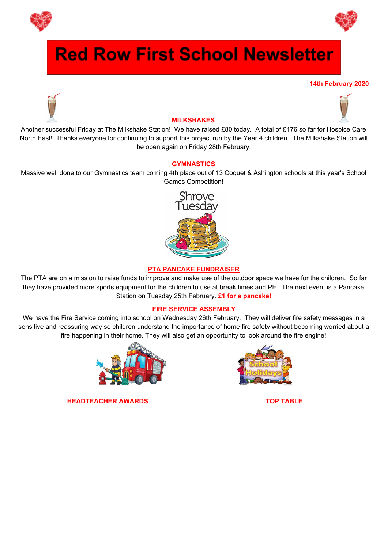



# **Red Row First School Newsletter**

#### **14th February 2020**





# **MILKSHAKES**

Another successful Friday at The Milkshake Station! We have raised £80 today. A total of £176 so far for Hospice Care North East! Thanks everyone for continuing to support this project run by the Year 4 children. The Milkshake Station will be open again on Friday 28th February.

## **GYMNASTICS**

Massive well done to our Gymnastics team coming 4th place out of 13 Coquet & Ashington schools at this year's School Games Competition!



### **PTA PANCAKE FUNDRAISER**

The PTA are on a mission to raise funds to improve and make use of the outdoor space we have for the children. So far they have provided more sports equipment for the children to use at break times and PE. The next event is a Pancake Station on Tuesday 25th February. **£1 for a pancake!**

#### **FIRE SERVICE ASSEMBLY**

We have the Fire Service coming into school on Wednesday 26th February. They will deliver fire safety messages in a sensitive and reassuring way so children understand the importance of home fire safety without becoming worried about a fire happening in their home. They will also get an opportunity to look around the fire engine!



**HEADTEACHER AWARDS TOP TABLE**

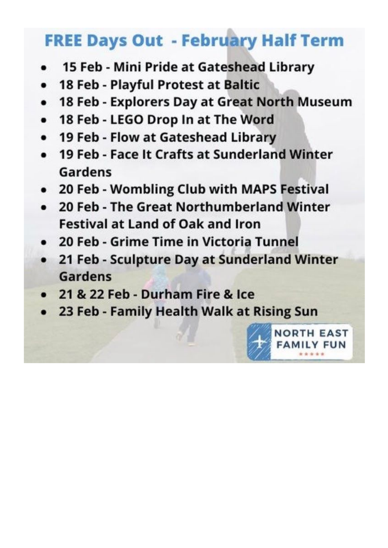# **FREE Days Out - February Half Term**

- 15 Feb Mini Pride at Gateshead Library
- 18 Feb Playful Protest at Baltic
- 18 Feb Explorers Day at Great North Museum  $\bullet$
- 18 Feb LEGO Drop In at The Word  $\bullet$
- 19 Feb Flow at Gateshead Library
- 19 Feb Face It Crafts at Sunderland Winter Gardens
- 20 Feb Wombling Club with MAPS Festival
- 20 Feb The Great Northumberland Winter **Festival at Land of Oak and Iron**
- 20 Feb Grime Time in Victoria Tunnel
- 21 Feb Sculpture Day at Sunderland Winter **Gardens**
- 21 & 22 Feb Durham Fire & Ice
- 23 Feb Family Health Walk at Rising Sun